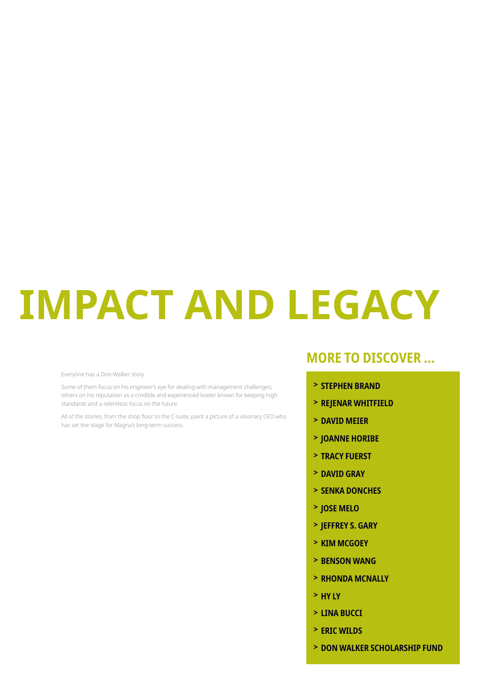# **IMPACT AND LEGACY**

Everyone has a Don Walker story.

Some of them focus on his engineer's eye for dealing with management challenges; others on his reputation as a credible and experienced leader known for keeping high standards and a relentless focus on the future.

All of the stories, from the shop floor to the C-suite, paint a picture of a visionary CEO who has set the stage for Magna's long-term success.

### **MORE TO DISCOVER...**

- > STEPHEN BRAND
- > REJENAR WHITFIELD
- > DAVID MEIER
- > JOANNE HORIBE
- > TRACY FUERST
- > DAVID GRAY
- > SENKA DONCHES
- > JOSE MELO
- > JEFFREY S. GARY
- > KIM MCGOEY
- > BENSON WANG
- > RHONDA MCNALLY
- $>$  HY LY
- > LINA BUCCI
- > ERIC WILDS
- > DON WALKER SCHOLARSHIP FUND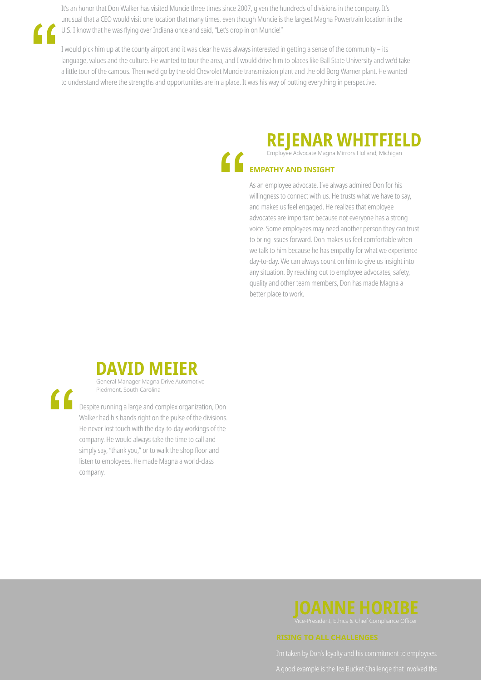It's an honor that Don Walker has visited Muncie three times since 2007, given the hundreds of divisions in the company. It's unusual that a CEO would visit one location that many times, even though Muncie is the largest Magna Powertrain location in the U.S. I know that he was flying over Indiana once and said, "Let's drop in on Muncie!"

I would pick him up at the county airport and it was clear he was always interested in getting a sense of the community - its language, values and the culture. He wanted to tour the area, and I would drive him to places like Ball State University and we'd take a little tour of the campus. Then we'd go by the old Chevrolet Muncie transmission plant and the old Borg Warner plant. He wanted to understand where the strengths and opportunities are in a place. It was his way of putting everything in perspective.

## REJENAR WHITFIELD

#### **EMPATHY AND INSIGHT**

As an employee advocate, I've always admired Don for his willingness to connect with us. He trusts what we have to say, and makes us feel engaged. He realizes that employee advocates are important because not everyone has a strong voice. Some employees may need another person they can trust to bring issues forward. Don makes us feel comfortable when we talk to him because he has empathy for what we experience day-to-day. We can always count on him to give us insight into any situation. By reaching out to employee advocates, safety, quality and other team members, Don has made Magna a better place to work.



Despite running a large and complex organization, Don Walker had his hands right on the pulse of the divisions. He never lost touch with the day-to-day workings of the company. He would always take the time to call and simply say, "thank you," or to walk the shop floor and listen to employees. He made Magna a world-class company.

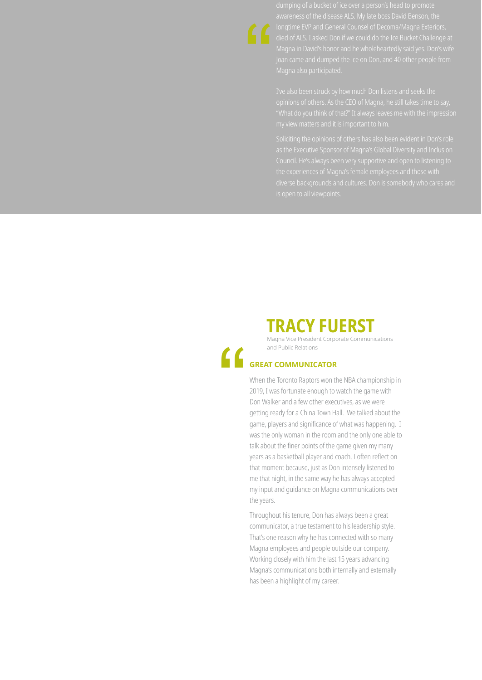awareness of the disease ALS. My late boss David Benson, the

opinions of others. As the CEO of Magna, he still takes time to say.

### **TRACY FUERST**

Magna Vice President Corporate Communications and Public Relations

#### **GREAT COMMUNICATOR**

When the Toronto Raptors won the NBA championship in 2019, I was fortunate enough to watch the game with Don Walker and a few other executives, as we were getting ready for a China Town Hall. We talked about the game, players and significance of what was happening. I was the only woman in the room and the only one able to talk about the finer points of the game given my many years as a basketball player and coach. I often reflect on that moment because, just as Don intensely listened to me that night, in the same way he has always accepted my input and quidance on Magna communications over the years.

Throughout his tenure, Don has always been a great communicator, a true testament to his leadership style. That's one reason why he has connected with so many Magna employees and people outside our company. Working closely with him the last 15 years advancing Magna's communications both internally and externally has been a highlight of my career.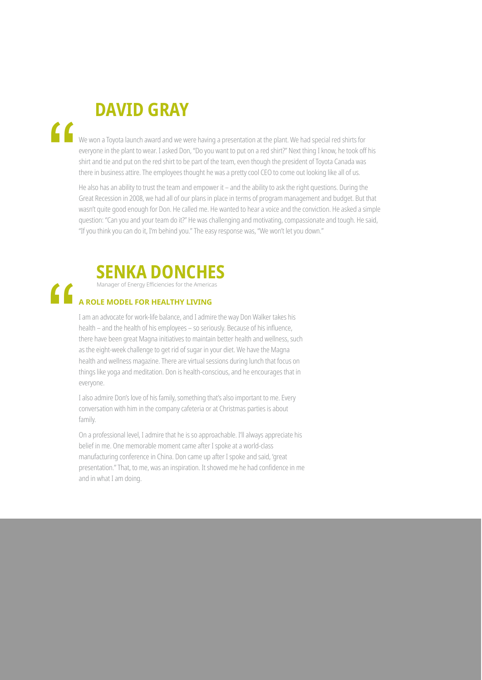## "

## **DAVID GRAY**

We won a Toyota launch award and we were having a presentation at the plant. We had special red shirts for everyone in the plant to wear. I asked Don, "Do you want to put on a red shirt?" Next thing I know, he took off his shirt and tie and put on the red shirt to be part of the team, even though the president of Toyota Canada was there in business attire. The employees thought he was a pretty cool CEO to come out looking like all of us.

He also has an ability to trust the team and empower it - and the ability to ask the right questions. During the Great Recession in 2008, we had all of our plans in place in terms of program management and budget. But that wasn't guite good enough for Don. He called me. He wanted to hear a voice and the conviction. He asked a simple guestion: "Can you and your team do it?" He was challenging and motivating, compassionate and tough. He said, "If you think you can do it, I'm behind you." The easy response was, "We won't let you down."



#### $\epsilon$ A ROLE MODEL FOR HEALTHY LIVING

I am an advocate for work-life balance, and I admire the way Don Walker takes his health – and the health of his employees – so seriously. Because of his influence, there have been great Magna initiatives to maintain better health and wellness, such as the eight-week challenge to get rid of sugar in your diet. We have the Magna health and wellness magazine. There are virtual sessions during lunch that focus on things like yoga and meditation. Don is health-conscious, and he encourages that in everyone.

I also admire Don's love of his family, something that's also important to me. Every conversation with him in the company cafeteria or at Christmas parties is about family.

On a professional level, I admire that he is so approachable. I'll always appreciate his belief in me. One memorable moment came after I spoke at a world-class manufacturing conference in China. Don came up after I spoke and said, 'great presentation." That, to me, was an inspiration. It showed me he had confidence in me and in what I am doing.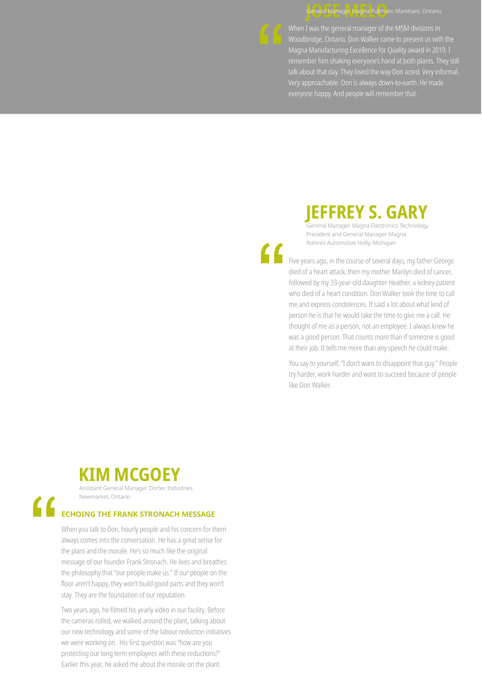#### General Manager Magna Pullmatic Markham, Ontario



When I was the general manager of the MSM divisions in remember him shaking everyone's hand at both plants. They still talk about that day. They loved the way Don acted. Very informal. everyone happy. And people will remember that.

## **IEFFREY S. GARY**

General Manager Magna Electronics Technology President and General Manager Magna Rohinni Automotive Holly, Michigan

Five years ago, in the course of several days, my father George died of a heart attack, then my mother Marilyn died of cancer, followed by my 33-year-old daughter Heather, a kidney patient who died of a heart condition. Don Walker took the time to call me and express condolences. It said a lot about what kind of person he is that he would take the time to give me a call. He thought of me as a person, not an employee. I always knew he was a good person. That counts more than if someone is good at their job. It tells me more than any speech he could make.

You say to yourself, "I don't want to disappoint that guy." People try harder, work harder and want to succeed because of people like Don Walker.

## **KIM MCGOEY**

Assistant General Manager Dortec Industries Newmarket, Ontario

#### **ECHOING THE FRANK STRONACH MESSAGE**

When you talk to Don, hourly people and his concern for them always comes into the conversation. He has a great sense for the plant and the morale. He's so much like the original message of our founder Frank Stronach. He lives and breathes the philosophy that "our people make us." If our people on the floor aren't happy, they won't build good parts and they won't stay. They are the foundation of our reputation.

Two years ago, he filmed his yearly video in our facility. Before the cameras rolled, we walked around the plant, talking about our new technology and some of the labour reduction initiatives we were working on. His first question was "how are you protecting our long term employees with these reductions?" Earlier this year, he asked me about the morale on the plant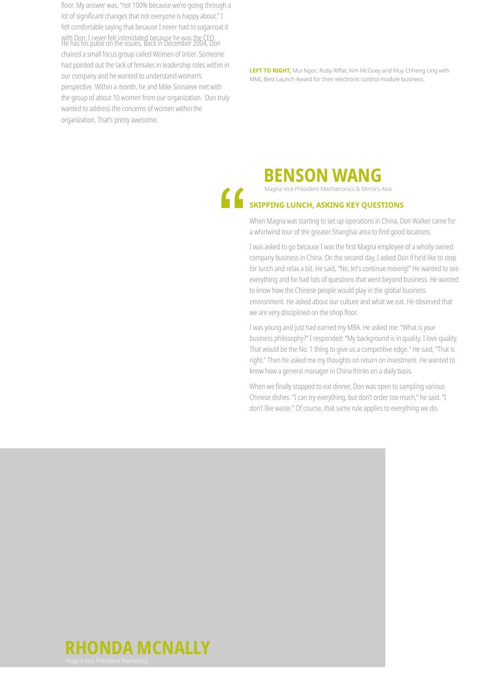floor. My answer was, "not 100% because we're going through a lot of significant changes that not everyone is happy about." I felt comfortable saying that because I never had to sugarcoat it with Don. I never felt intimidated because he was the CEO.<br>He has his pulse on the issues. Back in December 2004, Don chaired a small focus group called Women of Intier. Someone had pointed out the lack of females in leadership roles within in our company and he wanted to understand women's perspective. Within a month, he and Mike Sinnaeve met with the group of about 10 women from our organization. Don truly wanted to address the concerns of women within the organization. That's pretty awesome.

**LEFT TO RIGHT,** Mui Ngoc, Ruby Riffat, Kim McGoey and Muy Chheng Ung with MML Best Launch Award for their electronic control module business.



Magna Vice President Mechatronics & Mirrors Asia

### SKIPPING LUNCH, ASKING KEY QUESTIONS

When Magna was starting to set up operations in China, Don Walker came for a whirlwind tour of the greater Shanghai area to find good locations.

I was asked to go because I was the first Magna employee of a wholly owned company business in China. On the second day, I asked Don if he'd like to stop for lunch and relax a bit. He said, "No, let's continue moving!" He wanted to see everything and he had lots of questions that went beyond business. He wanted to know how the Chinese people would play in the global business environment. He asked about our culture and what we eat. He observed that we are very disciplined on the shop floor.

I was young and just had earned my MBA. He asked me: "What is your business philosophy?" I responded: "My background is in quality. I love quality. That would be the No. 1 thing to give us a competitive edge." He said, "That is right." Then he asked me my thoughts on return on investment. He wanted to know how a general manager in China thinks on a daily basis.

When we finally stopped to eat dinner, Don was open to sampling various Chinese dishes. "I can try everything, but don't order too much," he said. "I don't like waste." Of course, that same rule applies to everything we do.

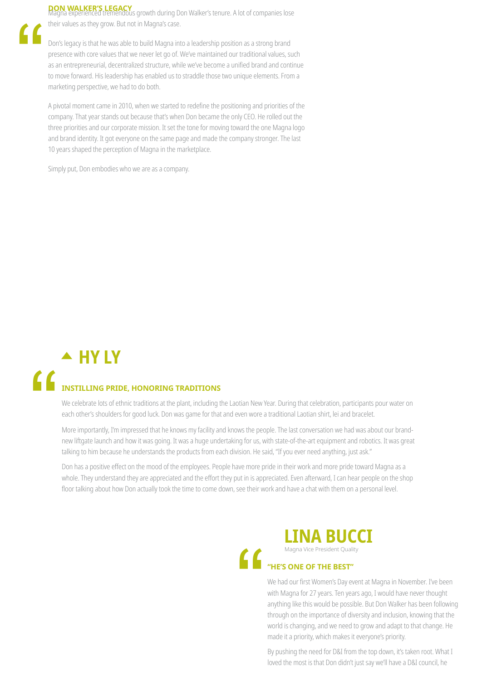### **DON WALKER'S LEGACY**<br>Magna experienced tremendous growth during Don Walker's tenure. A lot of companies lose

their values as they grow. But not in Magna's case.

Don's legacy is that he was able to build Magna into a leadership position as a strong brand presence with core values that we never let go of. We've maintained our traditional values, such as an entrepreneurial, decentralized structure, while we've become a unified brand and continue to move forward. His leadership has enabled us to straddle those two unique elements. From a marketing perspective, we had to do both.

A pivotal moment came in 2010, when we started to redefine the positioning and priorities of the company. That year stands out because that's when Don became the only CEO. He rolled out the three priorities and our corporate mission. It set the tone for moving toward the one Magna logo and brand identity. It got everyone on the same page and made the company stronger. The last 10 years shaped the perception of Magna in the marketplace.

Simply put, Don embodies who we are as a company.

## $\triangle$  HY LY INSTILLING PRIDE, HONORING TRADITIONS

We celebrate lots of ethnic traditions at the plant, including the Laotian New Year. During that celebration, participants pour water on each other's shoulders for good luck. Don was game for that and even wore a traditional Laotian shirt, lei and bracelet.

More importantly, I'm impressed that he knows my facility and knows the people. The last conversation we had was about our brandnew liftgate launch and how it was going. It was a huge undertaking for us, with state-of-the-art equipment and robotics. It was great talking to him because he understands the products from each division. He said, "If you ever need anything, just ask."

Don has a positive effect on the mood of the employees. People have more pride in their work and more pride toward Magna as a whole. They understand they are appreciated and the effort they put in is appreciated. Even afterward, I can hear people on the shop floor talking about how Don actually took the time to come down, see their work and have a chat with them on a personal level.



#### **LINA BUCCI** Magna Vice President Quality

"HE'S ONE OF THE BEST"

We had our first Women's Day event at Magna in November. I've been with Magna for 27 years. Ten years ago, I would have never thought anything like this would be possible. But Don Walker has been following through on the importance of diversity and inclusion, knowing that the world is changing, and we need to grow and adapt to that change. He made it a priority, which makes it everyone's priority.

By pushing the need for D&I from the top down, it's taken root. What I loved the most is that Don didn't just say we'll have a D&I council, he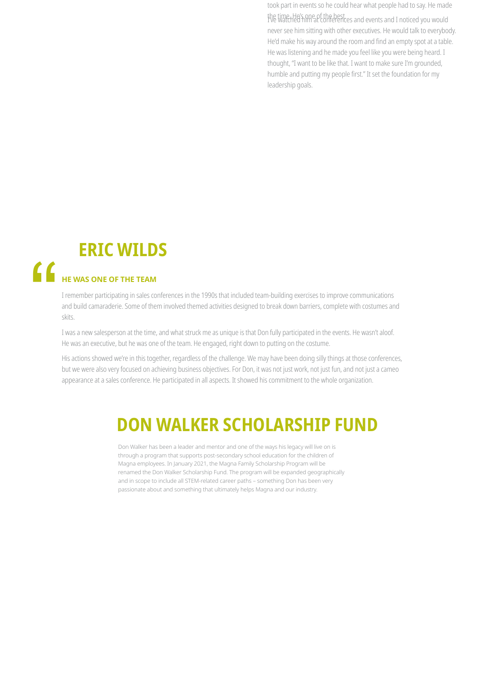took part in events so he could hear what people had to say. He made the time. He's ane of the best.<br>The time He's and events and I noticed you would never see him sitting with other executives. He would talk to everybody. He'd make his way around the room and find an empty spot at a table. He was listening and he made you feel like you were being heard. I thought, "I want to be like that. I want to make sure I'm grounded, humble and putting my people first." It set the foundation for my leadership goals.

## **ERIC WILDS**

## HE WAS ONE OF THE TEAM

I remember participating in sales conferences in the 1990s that included team-building exercises to improve communications and build camaraderie. Some of them involved themed activities designed to break down barriers, complete with costumes and skits.

I was a new salesperson at the time, and what struck me as unique is that Don fully participated in the events. He wasn't aloof. He was an executive, but he was one of the team. He engaged, right down to putting on the costume.

His actions showed we're in this together, regardless of the challenge. We may have been doing silly things at those conferences, but we were also very focused on achieving business objectives. For Don, it was not just work, not just fun, and not just a cameo appearance at a sales conference. He participated in all aspects. It showed his commitment to the whole organization.

## **DON WALKER SCHOLARSHIP FUND**

Don Walker has been a leader and mentor and one of the ways his legacy will live on is through a program that supports post-secondary school education for the children of Magna employees. In January 2021, the Magna Family Scholarship Program will be renamed the Don Walker Scholarship Fund. The program will be expanded geographically and in scope to include all STEM-related career paths - something Don has been very passionate about and something that ultimately helps Magna and our industry.